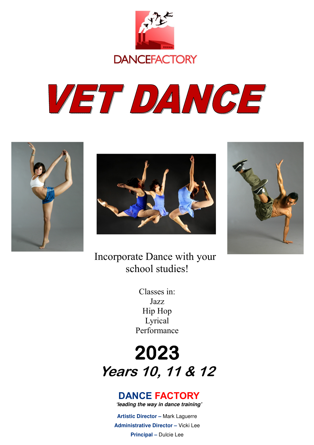

# VET DANGE







Incorporate Dance with your school studies!

> Classes in: Jazz Hip Hop Lyrical Performance

# **2023 Years 10, 11 & 12**

## **DANCE FACTORY**

**'leading the way in dance training'** 

**Artistic Director –** Mark Laguerre **Administrative Director –** Vicki Lee **Principal –** Dulcie Lee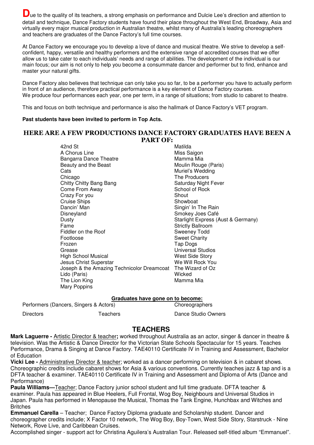Due to the quality of its teachers, a strong emphasis on performance and Dulcie Lee's direction and attention to detail and technique, Dance Factory students have found their place throughout the West End, Broadway, Asia and virtually every major musical production in Australian theatre, whilst many of Australia's leading choreographers and teachers are graduates of the Dance Factory's full time courses.

At Dance Factory we encourage you to develop a love of dance and musical theatre. We strive to develop a selfconfident, happy, versatile and healthy performers and the extensive range of accredited courses that we offer allow us to take cater to each individuals' needs and range of abilities. The development of the individual is our main focus; our aim is not only to help you become a consummate dancer and performer but to find, enhance and master your natural gifts.

Dance Factory also believes that technique can only take you so far, to be a performer you have to actually perform in front of an audience, therefore practical performance is a key element of Dance Factory courses. We produce four performances each year, one per term, in a range of situations; from studio to cabaret to theatre.

This and focus on both technique and performance is also the hallmark of Dance Factory's VET program.

#### **Past students have been invited to perform in Top Acts.**

#### **HERE ARE A FEW PRODUCTIONS DANCE FACTORY GRADUATES HAVE BEEN A PART OF:**

42nd St Matilda and St Matilda and St Matilda and St Matilda and St Matilda and St Matilda and St Matilda and St Matilda and St Matilda and St Matilda and St Matilda and St Matilda and St Matilda and St Matilda and St Mati A Chorus Line **Miss** Saigon Bangarra Dance Theatre Mamma Mia Beauty and the Beast Moulin Rouge (Paris) Cats **Cats** Muriel's Wedding Chicago The Producers Chitty Chitty Bang Bang Saturday Night Fever<br>
Come From Away<br>
School of Rock Come From Away Crazy For you shout that the Shout Cruise Ships **Showboat** Showboat Dancin' Man Singin' In The Rain Disneyland Smokey Joes Café Dusty **Dusty** Starlight Express (Aust & Germany) Fame Strictly Ballroom<br>Fiddler on the Roof Sweeney Todd Fiddler on the Roof Footloose Sweet Charity Frozen **Tap Dogs** Grease Universal Studios High School Musical West Side Story Jesus Christ Superstar New Your We Will Rock Your Joseph & the Amazing Technicolor Dreamcoat The Wizard of Oz Lido (Paris) Wicked The Lion King **Mamma** Mia Mary Poppins

#### **Graduates have gone on to become:**

| Performers (Dancers, Singers & Actors) |          | .<br>Choreographers |
|----------------------------------------|----------|---------------------|
| <b>Directors</b>                       | Teachers | Dance Studio Owners |

#### **TEACHERS**

**Mark Laguerre -** Artistic Director & teacher**;** worked throughout Australia as an actor, singer & dancer in theatre & television. Was the Artistic & Dance Director for the Victorian State Schools Spectacular for 15 years. Teaches Performance, Drama & Singing at Dance Factory. TAE40110 Certificate IV in Training and Assessment, Bachelor of Education

**Vicki Lee -** Administrative Director & teacher; worked as a dancer performing on television & in cabaret shows. Choreographic credits include cabaret shows for Asia & various conventions. Currently teaches jazz & tap and is a DFTA teacher & examiner. TAE40110 Certificate IV in Training and Assessment and Diploma of Arts (Dance and Performance)

**Paula Williams—**Teacher; Dance Factory junior school student and full time graduate. DFTA teacher & examiner. Paula has appeared in Blue Heelers, Full Frontal, Wog Boy, Neighbours and Universal Studios in Japan. Paula has performed in Menopause the Musical, Thomas the Tank Engine, Hunchbax and Witches and Britches

**Emmanuel Carella** – Teacher; Dance Factory Diploma graduate and Scholarship student. Dancer and choreographer credits include; X Factor 10 network, The Wog Boy, Boy-Town, West Side Story, Starstruck - Nine Network, Rove Live, and Caribbean Cruises.

Accomplished singer - support act for Christina Aguilera's Australian Tour. Released self-titled album "Emmanuel".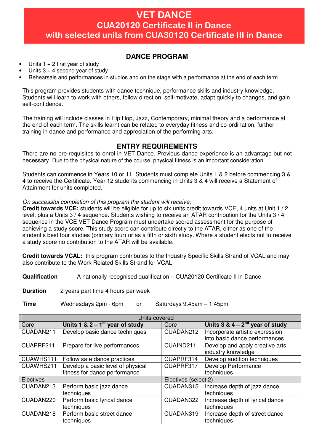### **VET DANCE CUA20120 Certificate II in Dance with selected units from CUA30120 Certificate III in Dance**

#### **DANCE PROGRAM**

- Units  $1 + 2$  first year of study
- Units  $3 + 4$  second year of study
- Rehearsals and performances in studios and on the stage with a performance at the end of each term

This program provides students with dance technique, performance skills and industry knowledge. Students will learn to work with others, follow direction, self-motivate, adapt quickly to changes, and gain self-confidence.

The training will include classes in Hip Hop, Jazz, Contemporary, minimal theory and a performance at the end of each term. The skills learnt can be related to everyday fitness and co-ordination, further training in dance and performance and appreciation of the performing arts.

#### **ENTRY REQUIREMENTS**

There are no pre-requisites to enrol in VET Dance. Previous dance experience is an advantage but not necessary. Due to the physical nature of the course, physical fitness is an important consideration.

Students can commence in Years 10 or 11. Students must complete Units 1 & 2 before commencing 3 & 4 to receive the Certificate. Year 12 students commencing in Units 3 & 4 will receive a Statement of Attainment for units completed.

#### On successful completion of this program the student will receive:

**Credit towards VCE:** students will be eligible for up to six units credit towards VCE, 4 units at Unit 1 / 2 level, plus a Units 3 / 4 sequence. Students wishing to receive an ATAR contribution for the Units 3 / 4 sequence in the VCE VET Dance Program must undertake scored assessment for the purpose of achieving a study score. This study score can contribute directly to the ATAR, either as one of the student's best four studies (primary four) or as a fifth or sixth study. Where a student elects not to receive a study score no contribution to the ATAR will be available.

**Credit towards VCAL:** this program contributes to the Industry Specific Skills Strand of VCAL and may also contribute to the Work Related Skills Strand for VCAL

**Qualification** A nationally recognised qualification – CUA20120 Certificate II in Dance

**Duration** 2 years part time 4 hours per week

**Time** Wednesdays 2pm - 6pm or Saturdays 9.45am – 1.45pm

| Units covered    |                                               |                      |                                                                  |  |  |  |  |  |  |
|------------------|-----------------------------------------------|----------------------|------------------------------------------------------------------|--|--|--|--|--|--|
| Core             | Units 1 & $2 - 1$ <sup>st</sup> year of study | Core                 | Units $3 \& 4 - 2^{nd}$ year of study                            |  |  |  |  |  |  |
| CUADAN211        | Develop basic dance techniques                | CUADAN212            | Incorporate artistic expression<br>into basic dance performances |  |  |  |  |  |  |
| CUAPRF211        | Prepare for live performances                 | CUAIND211            | Develop and apply creative arts<br>industry knowledge            |  |  |  |  |  |  |
| CUAWHS111        | Follow safe dance practices                   | CUAPRF314            | Develop audition techniques                                      |  |  |  |  |  |  |
| CUAWHS211        | Develop a basic level of physical             | CUAPRF317            | Develop Performance                                              |  |  |  |  |  |  |
|                  | fitness for dance performance                 |                      | techniques                                                       |  |  |  |  |  |  |
| <b>Electives</b> |                                               | Electives (select 2) |                                                                  |  |  |  |  |  |  |
| CUADAN213        | Perform basic jazz dance<br>techniques        | CUADAN315            | Increase depth of jazz dance<br>techniques                       |  |  |  |  |  |  |
| CUADAN220        | Perform basic lyrical dance<br>techniques     | CUADAN322            | Increase depth of lyrical dance<br>techniques                    |  |  |  |  |  |  |
| CUADAN218        | Perform basic street dance<br>techniques      | CUADAN319            | Increase depth of street dance<br>techniques                     |  |  |  |  |  |  |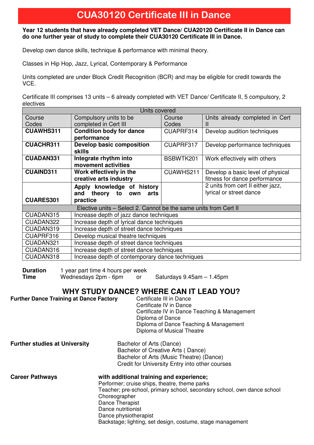## **CUA30120 Certificate III in Dance**

#### **Year 12 students that have already completed VET Dance/ CUA20120 Certificate II in Dance can do one further year of study to complete their CUA30120 Certificate III in Dance.**

Develop own dance skills, technique & performance with minimal theory.

Classes in Hip Hop, Jazz, Lyrical, Contemporary & Performance

Units completed are under Block Credit Recognition (BCR) and may be eligible for credit towards the VCE.

Certificate III comprises 13 units – 6 already completed with VET Dance/ Certificate II, 5 compulsory, 2 electives

| Units covered                                                |                                                                  |           |                                   |  |  |  |  |  |
|--------------------------------------------------------------|------------------------------------------------------------------|-----------|-----------------------------------|--|--|--|--|--|
| Course                                                       | Compulsory units to be                                           | Course    | Units already completed in Cert   |  |  |  |  |  |
| Codes                                                        | completed in Cert III                                            | Codes     | Ш                                 |  |  |  |  |  |
| <b>CUAWHS311</b>                                             | <b>Condition body for dance</b>                                  | CUAPRF314 | Develop audition techniques       |  |  |  |  |  |
|                                                              | performance                                                      |           |                                   |  |  |  |  |  |
| <b>CUACHR311</b>                                             | <b>Develop basic composition</b>                                 | CUAPRF317 | Develop performance techniques    |  |  |  |  |  |
|                                                              | <b>skills</b>                                                    |           |                                   |  |  |  |  |  |
| <b>CUADAN331</b>                                             | Integrate rhythm into                                            | BSBWTK201 | Work effectively with others      |  |  |  |  |  |
|                                                              | movement activities                                              |           |                                   |  |  |  |  |  |
| <b>CUAIND311</b>                                             | Work effectively in the                                          | CUAWHS211 | Develop a basic level of physical |  |  |  |  |  |
|                                                              | creative arts industry                                           |           | fitness for dance performance     |  |  |  |  |  |
|                                                              | Apply knowledge of history                                       |           | 2 units from cert II either jazz, |  |  |  |  |  |
|                                                              | theory to<br>and<br>own<br>arts                                  |           | lyrical or street dance           |  |  |  |  |  |
| <b>CUARES301</b>                                             | practice                                                         |           |                                   |  |  |  |  |  |
|                                                              | Elective units - Select 2. Cannot be the same units from Cert II |           |                                   |  |  |  |  |  |
| CUADAN315                                                    | Increase depth of jazz dance techniques                          |           |                                   |  |  |  |  |  |
| CUADAN322                                                    | Increase depth of lyrical dance techniques                       |           |                                   |  |  |  |  |  |
| CUADAN319                                                    | Increase depth of street dance techniques                        |           |                                   |  |  |  |  |  |
| CUAPRF316                                                    | Develop musical theatre techniques                               |           |                                   |  |  |  |  |  |
| CUADAN321                                                    | Increase depth of street dance techniques                        |           |                                   |  |  |  |  |  |
| CUADAN316                                                    | Increase depth of street dance techniques                        |           |                                   |  |  |  |  |  |
| CUADAN318<br>Increase depth of contemporary dance techniques |                                                                  |           |                                   |  |  |  |  |  |

| <b>Duration</b> | 1 year part time 4 hours per week |  |                           |
|-----------------|-----------------------------------|--|---------------------------|
| <b>Time</b>     | Wednesdays 2pm - 6pm              |  | Saturdays 9.45am - 1.45pm |

#### **WHY STUDY DANCE? WHERE CAN IT LEAD YOU?**

| <b>Further Dance Training at Dance Factory</b> | Certificate III in Dance<br>Certificate IV in Dance<br>Certificate IV in Dance Teaching & Management<br>Diploma of Dance<br>Diploma of Dance Teaching & Management<br>Diploma of Musical Theatre |
|------------------------------------------------|--------------------------------------------------------------------------------------------------------------------------------------------------------------------------------------------------|
| <b>Further studies at University</b>           | Bachelor of Arts (Dance)<br>Bachelor of Creative Arts (Dance)<br>Bachelor of Arts (Music Theatre) (Dance)                                                                                        |

Credit for University Entry into other courses **Career Pathways with additional training and experience;**  Performer; cruise ships, theatre, theme parks Teacher; pre-school, primary school, secondary school, own dance school **Choreographer**  Dance Therapist Dance nutritionist Dance physiotherapist Backstage; lighting, set design, costume, stage management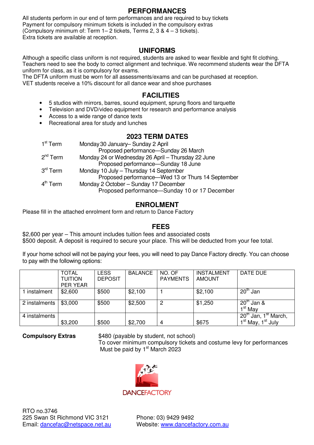#### **PERFORMANCES**

All students perform in our end of term performances and are required to buy tickets Payment for compulsory minimum tickets is included in the compulsory extras (Compulsory minimum of: Term 1– 2 tickets, Terms 2, 3 & 4 – 3 tickets). Extra tickets are available at reception.

#### **UNIFORMS**

Although a specific class uniform is not required, students are asked to wear flexible and tight fit clothing. Teachers need to see the body to correct alignment and technique. We recommend students wear the DFTA uniform for class, as it is compulsory for exams.

The DFTA uniform must be worn for all assessments/exams and can be purchased at reception. VET students receive a 10% discount for all dance wear and shoe purchases

#### **FACILITIES**

- 5 studios with mirrors, barres, sound equipment, sprung floors and tarquette
- Television and DVD/video equipment for research and performance analysis
- Access to a wide range of dance texts
- Recreational area for study and lunches

#### **2023 TERM DATES**

| 1 <sup>st</sup> Term | Monday 30 January-Sunday 2 April                   |
|----------------------|----------------------------------------------------|
|                      | Proposed performance-Sunday 26 March               |
| $2nd$ Term           | Monday 24 or Wednesday 26 April - Thursday 22 June |
|                      | Proposed performance—Sunday 18 June                |
| $3^{\text{rd}}$ Term | Monday 10 July - Thursday 14 September             |
|                      | Proposed performance—Wed 13 or Thurs 14 September  |
| $4th$ Term           | Monday 2 October - Sunday 17 December              |
|                      | Proposed performance-Sunday 10 or 17 December      |
|                      |                                                    |

#### **ENROLMENT**

Please fill in the attached enrolment form and return to Dance Factory

#### **FEES**

\$2,600 per year – This amount includes tuition fees and associated costs \$500 deposit. A deposit is required to secure your place. This will be deducted from your fee total.

If your home school will not be paying your fees, you will need to pay Dance Factory directly. You can choose to pay with the following options:

|               | <b>TOTAL</b><br><b>TUITION</b><br><b>PER YEAR</b> | LESS<br><b>DEPOSIT</b> | <b>BALANCE</b> | NO. OF<br><b>PAYMENTS</b> | INSTALMENT<br><b>AMOUNT</b> | DATE DUE                                         |
|---------------|---------------------------------------------------|------------------------|----------------|---------------------------|-----------------------------|--------------------------------------------------|
| 1 instalment  | \$2,600                                           | \$500                  | \$2,100        |                           | \$2,100                     | $20th$ Jan                                       |
| 2 instalments | \$3,000                                           | \$500                  | \$2,500        | 2                         | \$1,250                     | $20th$ Jan &<br>1 <sup>st</sup> May              |
| 4 instalments |                                                   |                        |                |                           |                             | 1 <sup>st</sup> March,<br>$20^{\text{m}}$ Jan, 1 |
|               | \$3,200                                           | \$500                  | \$2,700        | 4                         | \$675                       | 1 <sup>st</sup> May, 1 <sup>st</sup> July        |

**Compulsory Extras** \$480 (payable by student, not school)

To cover minimum compulsory tickets and costume levy for performances Must be paid by  $1<sup>st</sup>$  March 2023

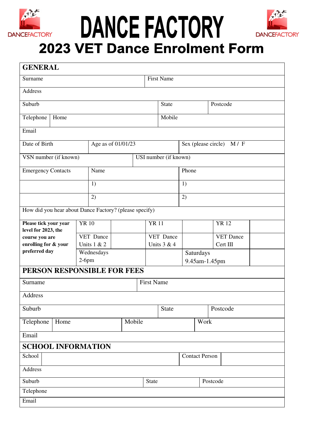

# DANCE FACTORY



## **2023 VET Dance Enrolment Form**

| <b>GENERAL</b>                                         |              |                    |  |      |                   |                       |          |           |                              |  |
|--------------------------------------------------------|--------------|--------------------|--|------|-------------------|-----------------------|----------|-----------|------------------------------|--|
| Surname                                                |              |                    |  |      | <b>First Name</b> |                       |          |           |                              |  |
| Address                                                |              |                    |  |      |                   |                       |          |           |                              |  |
| Suburb                                                 |              |                    |  |      |                   | <b>State</b>          |          |           | Postcode                     |  |
| Telephone<br>Home                                      |              |                    |  |      |                   | Mobile                |          |           |                              |  |
| Email                                                  |              |                    |  |      |                   |                       |          |           |                              |  |
| Date of Birth                                          |              | Age as of 01/01/23 |  |      |                   |                       |          |           | Sex (please circle)<br>M / F |  |
| VSN number (if known)                                  |              |                    |  |      |                   | USI number (if known) |          |           |                              |  |
| <b>Emergency Contacts</b>                              |              | Name               |  |      |                   |                       | Phone    |           |                              |  |
|                                                        |              | 1)                 |  |      |                   |                       | 1)       |           |                              |  |
|                                                        |              | 2)                 |  |      |                   |                       | 2)       |           |                              |  |
| How did you hear about Dance Factory? (please specify) |              |                    |  |      |                   |                       |          |           |                              |  |
| Please tick your year<br>level for 2023, the           | <b>YR 10</b> |                    |  |      | <b>YR11</b>       |                       |          |           | <b>YR12</b>                  |  |
| course you are                                         |              | VET Dance          |  |      | VET Dance         |                       |          |           | <b>VET Dance</b>             |  |
| enrolling for & your                                   |              | Units $1 & 2$      |  |      | Units $3 & 4$     |                       | Cert III |           |                              |  |
| preferred day                                          |              | Wednesdays         |  |      |                   |                       |          | Saturdays |                              |  |
|                                                        | $2-6pm$      |                    |  |      | 9.45am-1.45pm     |                       |          |           |                              |  |
| PERSON RESPONSIBLE FOR FEES                            |              |                    |  |      |                   |                       |          |           |                              |  |
| Surname                                                |              |                    |  |      | <b>First Name</b> |                       |          |           |                              |  |
| Address                                                |              |                    |  |      |                   |                       |          |           |                              |  |
| Suburb                                                 |              |                    |  |      |                   | State                 |          |           | Postcode                     |  |
| Mobile<br>Telephone<br>Home                            |              |                    |  | Work |                   |                       |          |           |                              |  |
| Email                                                  |              |                    |  |      |                   |                       |          |           |                              |  |
| <b>SCHOOL INFORMATION</b>                              |              |                    |  |      |                   |                       |          |           |                              |  |
| School                                                 |              |                    |  |      |                   | <b>Contact Person</b> |          |           |                              |  |
| Address                                                |              |                    |  |      |                   |                       |          |           |                              |  |
| Suburb<br><b>State</b><br>Postcode                     |              |                    |  |      |                   |                       |          |           |                              |  |
| Telephone                                              |              |                    |  |      |                   |                       |          |           |                              |  |
| Email                                                  |              |                    |  |      |                   |                       |          |           |                              |  |